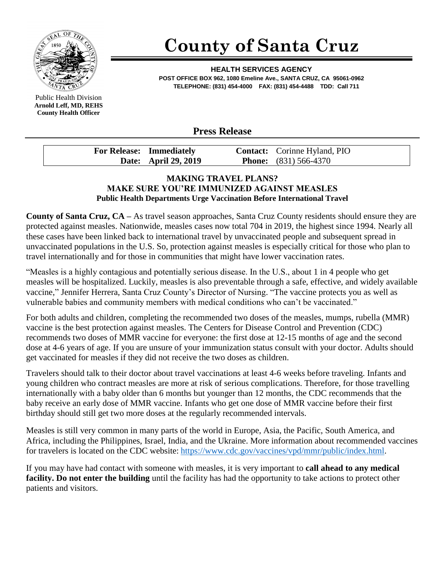

Public Health Division **Arnold Leff, MD, REHS County Health Officer**

## **County of Santa Cruz**

**HEALTH SERVICES AGENCY POST OFFICE BOX 962, 1080 Emeline Ave., SANTA CRUZ, CA 95061-0962 TELEPHONE: (831) 454-4000 FAX: (831) 454-4488 TDD: Call 711**

## **Press Release**

| <b>For Release: Immediately</b> | <b>Contact:</b> Corinne Hyland, PIO |
|---------------------------------|-------------------------------------|
| Date: April 29, 2019            | <b>Phone:</b> $(831)$ 566-4370      |

## **MAKING TRAVEL PLANS? MAKE SURE YOU'RE IMMUNIZED AGAINST MEASLES Public Health Departments Urge Vaccination Before International Travel**

**County of Santa Cruz, CA –** As travel season approaches, Santa Cruz County residents should ensure they are protected against measles. Nationwide, measles cases now total 704 in 2019, the highest since 1994. Nearly all these cases have been linked back to international travel by unvaccinated people and subsequent spread in unvaccinated populations in the U.S. So, protection against measles is especially critical for those who plan to travel internationally and for those in communities that might have lower vaccination rates.

"Measles is a highly contagious and potentially serious disease. In the U.S., about 1 in 4 people who get measles will be hospitalized. Luckily, measles is also preventable through a safe, effective, and widely available vaccine," Jennifer Herrera, Santa Cruz County's Director of Nursing. "The vaccine protects you as well as vulnerable babies and community members with medical conditions who can't be vaccinated."

For both adults and children, completing the recommended two doses of the measles, mumps, rubella (MMR) vaccine is the best protection against measles. The Centers for Disease Control and Prevention (CDC) recommends two doses of MMR vaccine for everyone: the first dose at 12-15 months of age and the second dose at 4-6 years of age. If you are unsure of your immunization status consult with your doctor. Adults should get vaccinated for measles if they did not receive the two doses as children.

Travelers should talk to their doctor about travel vaccinations at least 4-6 weeks before traveling. Infants and young children who contract measles are more at risk of serious complications. Therefore, for those travelling internationally with a baby older than 6 months but younger than 12 months, the CDC recommends that the baby receive an early dose of MMR vaccine. Infants who get one dose of MMR vaccine before their first birthday should still get two more doses at the regularly recommended intervals.

Measles is still very common in many parts of the world in Europe, Asia, the Pacific, South America, and Africa, including the Philippines, Israel, India, and the Ukraine. More information about recommended vaccines for travelers is located on the CDC website: [https://www.cdc.gov/vaccines/vpd/mmr/public/index.html.](https://www.cdc.gov/vaccines/vpd/mmr/public/index.html)

If you may have had contact with someone with measles, it is very important to **call ahead to any medical facility. Do not enter the building** until the facility has had the opportunity to take actions to protect other patients and visitors.